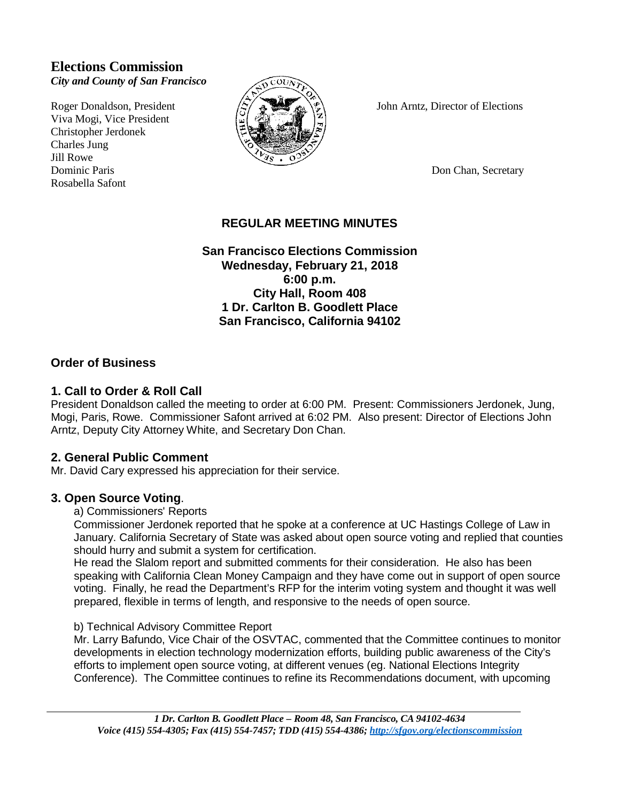# **Elections Commission**

*City and County of San Francisco*

Viva Mogi, Vice President Christopher Jerdonek Charles Jung Jill Rowe Dominic Paris Don Chan, Secretary Don Chan, Secretary Rosabella Safont



Roger Donaldson, President  $\langle 5 \rangle$   $\langle 3 \rangle$  John Arntz, Director of Elections

# **REGULAR MEETING MINUTES**

**San Francisco Elections Commission Wednesday, February 21, 2018 6:00 p.m. City Hall, Room 408 1 Dr. Carlton B. Goodlett Place San Francisco, California 94102**

# **Order of Business**

# **1. Call to Order & Roll Call**

President Donaldson called the meeting to order at 6:00 PM. Present: Commissioners Jerdonek, Jung, Mogi, Paris, Rowe. Commissioner Safont arrived at 6:02 PM. Also present: Director of Elections John Arntz, Deputy City Attorney White, and Secretary Don Chan.

## **2. General Public Comment**

Mr. David Cary expressed his appreciation for their service.

## **3. Open Source Voting**.

a) Commissioners' Reports

Commissioner Jerdonek reported that he spoke at a conference at UC Hastings College of Law in January. California Secretary of State was asked about open source voting and replied that counties should hurry and submit a system for certification.

He read the Slalom report and submitted comments for their consideration. He also has been speaking with California Clean Money Campaign and they have come out in support of open source voting. Finally, he read the Department's RFP for the interim voting system and thought it was well prepared, flexible in terms of length, and responsive to the needs of open source.

## b) Technical Advisory Committee Report

Mr. Larry Bafundo, Vice Chair of the OSVTAC, commented that the Committee continues to monitor developments in election technology modernization efforts, building public awareness of the City's efforts to implement open source voting, at different venues (eg. National Elections Integrity Conference). The Committee continues to refine its Recommendations document, with upcoming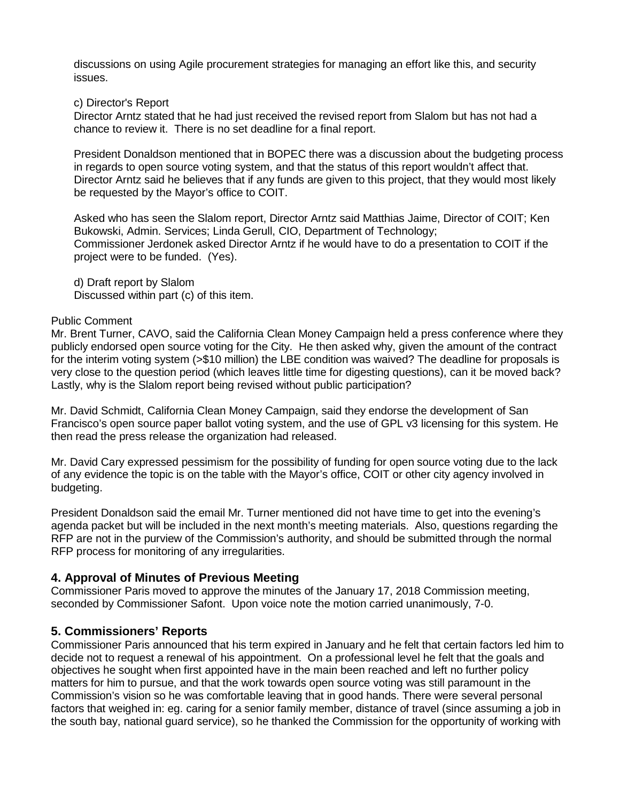discussions on using Agile procurement strategies for managing an effort like this, and security issues.

#### c) Director's Report

Director Arntz stated that he had just received the revised report from Slalom but has not had a chance to review it. There is no set deadline for a final report.

President Donaldson mentioned that in BOPEC there was a discussion about the budgeting process in regards to open source voting system, and that the status of this report wouldn't affect that. Director Arntz said he believes that if any funds are given to this project, that they would most likely be requested by the Mayor's office to COIT.

Asked who has seen the Slalom report, Director Arntz said Matthias Jaime, Director of COIT; Ken Bukowski, Admin. Services; Linda Gerull, CIO, Department of Technology; Commissioner Jerdonek asked Director Arntz if he would have to do a presentation to COIT if the project were to be funded. (Yes).

d) Draft report by Slalom Discussed within part (c) of this item.

### Public Comment

Mr. Brent Turner, CAVO, said the California Clean Money Campaign held a press conference where they publicly endorsed open source voting for the City. He then asked why, given the amount of the contract for the interim voting system (>\$10 million) the LBE condition was waived? The deadline for proposals is very close to the question period (which leaves little time for digesting questions), can it be moved back? Lastly, why is the Slalom report being revised without public participation?

Mr. David Schmidt, California Clean Money Campaign, said they endorse the development of San Francisco's open source paper ballot voting system, and the use of GPL v3 licensing for this system. He then read the press release the organization had released.

Mr. David Cary expressed pessimism for the possibility of funding for open source voting due to the lack of any evidence the topic is on the table with the Mayor's office, COIT or other city agency involved in budgeting.

President Donaldson said the email Mr. Turner mentioned did not have time to get into the evening's agenda packet but will be included in the next month's meeting materials. Also, questions regarding the RFP are not in the purview of the Commission's authority, and should be submitted through the normal RFP process for monitoring of any irregularities.

## **4. Approval of Minutes of Previous Meeting**

Commissioner Paris moved to approve the minutes of the January 17, 2018 Commission meeting, seconded by Commissioner Safont. Upon voice note the motion carried unanimously, 7-0.

## **5. Commissioners' Reports**

Commissioner Paris announced that his term expired in January and he felt that certain factors led him to decide not to request a renewal of his appointment. On a professional level he felt that the goals and objectives he sought when first appointed have in the main been reached and left no further policy matters for him to pursue, and that the work towards open source voting was still paramount in the Commission's vision so he was comfortable leaving that in good hands. There were several personal factors that weighed in: eg. caring for a senior family member, distance of travel (since assuming a job in the south bay, national guard service), so he thanked the Commission for the opportunity of working with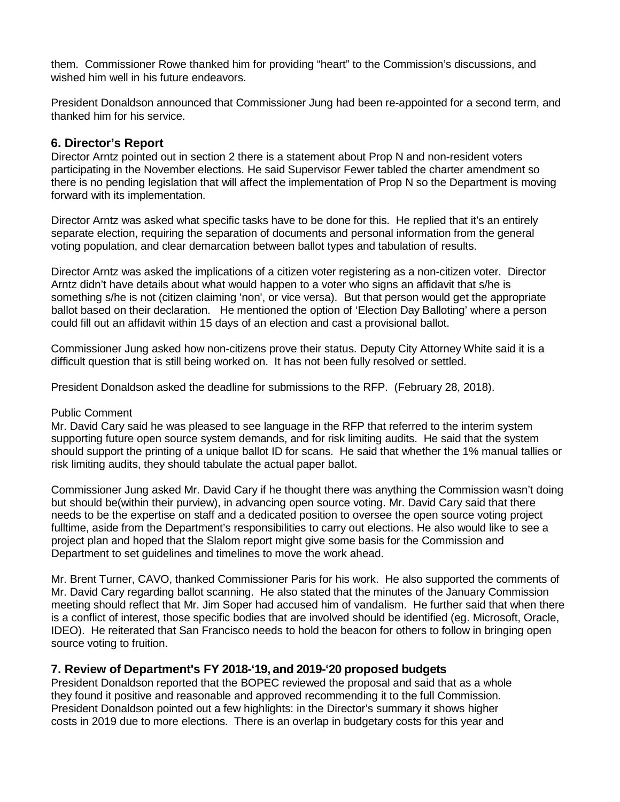them. Commissioner Rowe thanked him for providing "heart" to the Commission's discussions, and wished him well in his future endeavors.

President Donaldson announced that Commissioner Jung had been re-appointed for a second term, and thanked him for his service.

## **6. Director's Report**

Director Arntz pointed out in section 2 there is a statement about Prop N and non-resident voters participating in the November elections. He said Supervisor Fewer tabled the charter amendment so there is no pending legislation that will affect the implementation of Prop N so the Department is moving forward with its implementation.

Director Arntz was asked what specific tasks have to be done for this. He replied that it's an entirely separate election, requiring the separation of documents and personal information from the general voting population, and clear demarcation between ballot types and tabulation of results.

Director Arntz was asked the implications of a citizen voter registering as a non-citizen voter. Director Arntz didn't have details about what would happen to a voter who signs an affidavit that s/he is something s/he is not (citizen claiming 'non', or vice versa). But that person would get the appropriate ballot based on their declaration. He mentioned the option of 'Election Day Balloting' where a person could fill out an affidavit within 15 days of an election and cast a provisional ballot.

Commissioner Jung asked how non-citizens prove their status. Deputy City Attorney White said it is a difficult question that is still being worked on. It has not been fully resolved or settled.

President Donaldson asked the deadline for submissions to the RFP. (February 28, 2018).

#### Public Comment

Mr. David Cary said he was pleased to see language in the RFP that referred to the interim system supporting future open source system demands, and for risk limiting audits. He said that the system should support the printing of a unique ballot ID for scans. He said that whether the 1% manual tallies or risk limiting audits, they should tabulate the actual paper ballot.

Commissioner Jung asked Mr. David Cary if he thought there was anything the Commission wasn't doing but should be(within their purview), in advancing open source voting. Mr. David Cary said that there needs to be the expertise on staff and a dedicated position to oversee the open source voting project fulltime, aside from the Department's responsibilities to carry out elections. He also would like to see a project plan and hoped that the Slalom report might give some basis for the Commission and Department to set guidelines and timelines to move the work ahead.

Mr. Brent Turner, CAVO, thanked Commissioner Paris for his work. He also supported the comments of Mr. David Cary regarding ballot scanning. He also stated that the minutes of the January Commission meeting should reflect that Mr. Jim Soper had accused him of vandalism. He further said that when there is a conflict of interest, those specific bodies that are involved should be identified (eg. Microsoft, Oracle, IDEO). He reiterated that San Francisco needs to hold the beacon for others to follow in bringing open source voting to fruition.

## **7. Review of Department's FY 2018-'19, and 2019-'20 proposed budgets**

President Donaldson reported that the BOPEC reviewed the proposal and said that as a whole they found it positive and reasonable and approved recommending it to the full Commission. President Donaldson pointed out a few highlights: in the Director's summary it shows higher costs in 2019 due to more elections. There is an overlap in budgetary costs for this year and